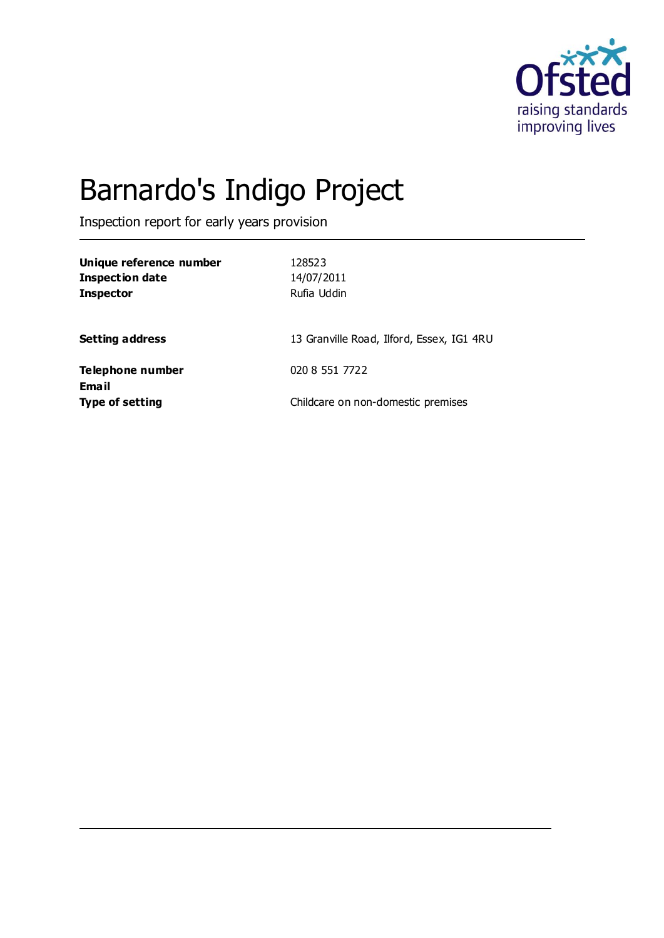

# Barnardo's Indigo Project

Inspection report for early years provision

| Unique reference number<br><b>Inspection date</b><br><b>Inspector</b> | 128523<br>14/07/2011<br>Rufia Uddin       |
|-----------------------------------------------------------------------|-------------------------------------------|
| <b>Setting address</b>                                                | 13 Granville Road, Ilford, Essex, IG1 4RU |
| Telephone number                                                      | 020 8 551 7722                            |
| <b>Email</b><br><b>Type of setting</b>                                | Childcare on non-domestic premises        |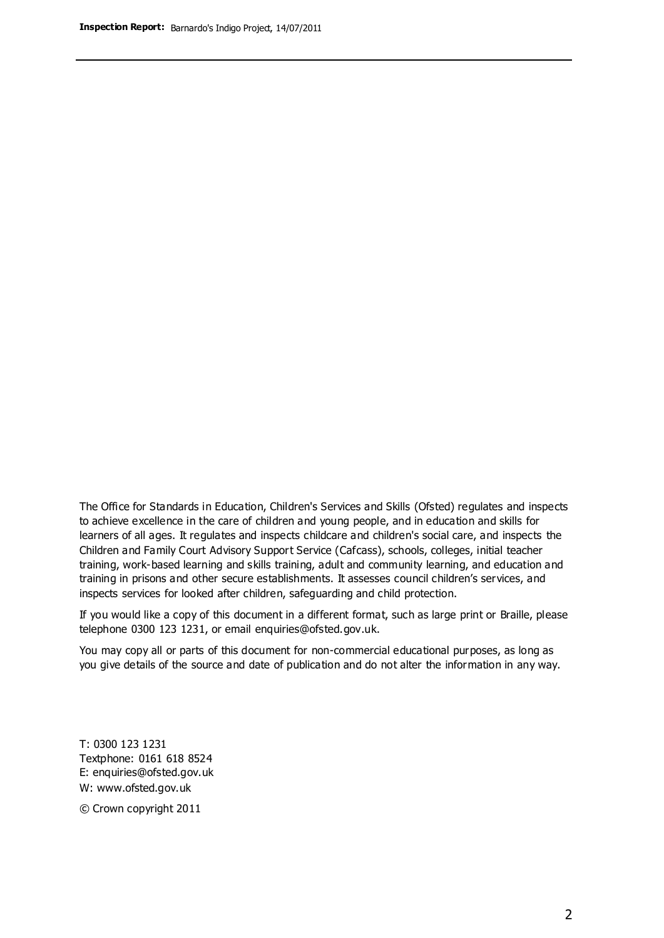The Office for Standards in Education, Children's Services and Skills (Ofsted) regulates and inspects to achieve excellence in the care of children and young people, and in education and skills for learners of all ages. It regulates and inspects childcare and children's social care, and inspects the Children and Family Court Advisory Support Service (Cafcass), schools, colleges, initial teacher training, work-based learning and skills training, adult and community learning, and education and training in prisons and other secure establishments. It assesses council children's services, and inspects services for looked after children, safeguarding and child protection.

If you would like a copy of this document in a different format, such as large print or Braille, please telephone 0300 123 1231, or email enquiries@ofsted.gov.uk.

You may copy all or parts of this document for non-commercial educational purposes, as long as you give details of the source and date of publication and do not alter the information in any way.

T: 0300 123 1231 Textphone: 0161 618 8524 E: enquiries@ofsted.gov.uk W: [www.ofsted.gov.uk](http://www.ofsted.gov.uk/)

© Crown copyright 2011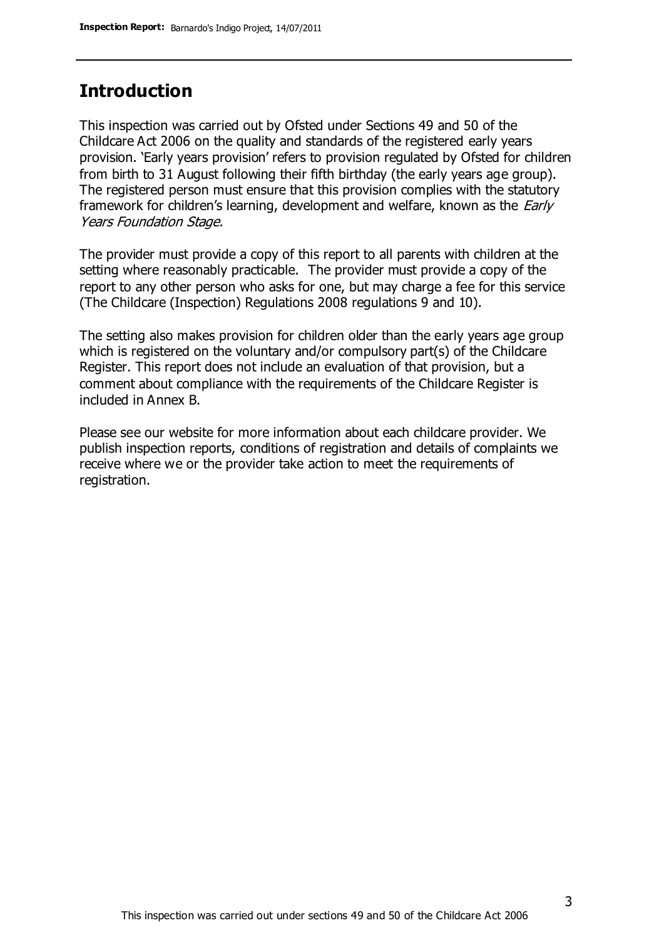### **Introduction**

This inspection was carried out by Ofsted under Sections 49 and 50 of the Childcare Act 2006 on the quality and standards of the registered early years provision. 'Early years provision' refers to provision regulated by Ofsted for children from birth to 31 August following their fifth birthday (the early years age group). The registered person must ensure that this provision complies with the statutory framework for children's learning, development and welfare, known as the *Early* Years Foundation Stage.

The provider must provide a copy of this report to all parents with children at the setting where reasonably practicable. The provider must provide a copy of the report to any other person who asks for one, but may charge a fee for this service (The Childcare (Inspection) Regulations 2008 regulations 9 and 10).

The setting also makes provision for children older than the early years age group which is registered on the voluntary and/or compulsory part(s) of the Childcare Register. This report does not include an evaluation of that provision, but a comment about compliance with the requirements of the Childcare Register is included in Annex B.

Please see our website for more information about each childcare provider. We publish inspection reports, conditions of registration and details of complaints we receive where we or the provider take action to meet the requirements of registration.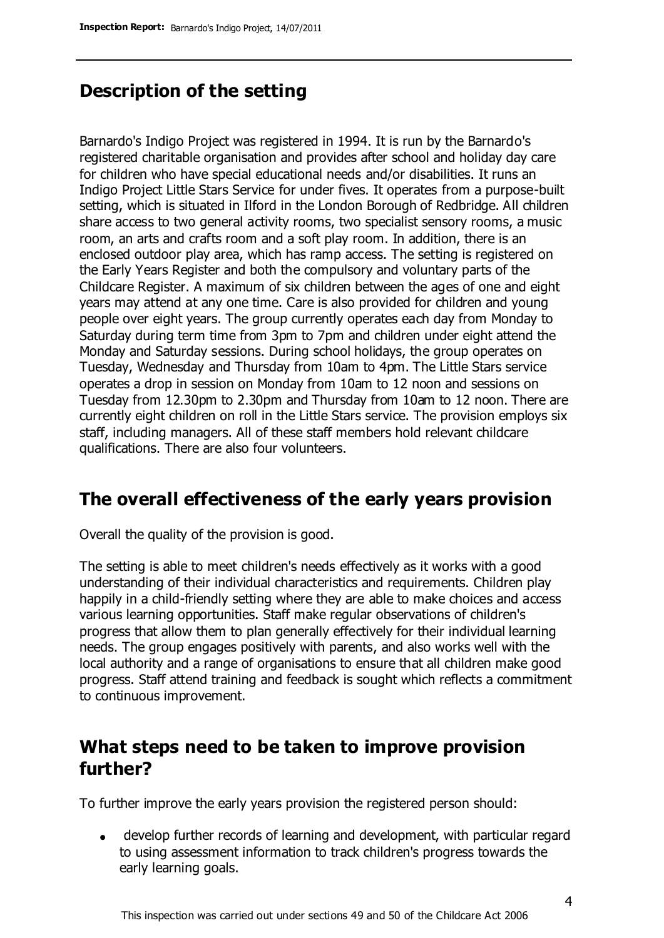### **Description of the setting**

Barnardo's Indigo Project was registered in 1994. It is run by the Barnardo's registered charitable organisation and provides after school and holiday day care for children who have special educational needs and/or disabilities. It runs an Indigo Project Little Stars Service for under fives. It operates from a purpose-built setting, which is situated in Ilford in the London Borough of Redbridge. All children share access to two general activity rooms, two specialist sensory rooms, a music room, an arts and crafts room and a soft play room. In addition, there is an enclosed outdoor play area, which has ramp access. The setting is registered on the Early Years Register and both the compulsory and voluntary parts of the Childcare Register. A maximum of six children between the ages of one and eight years may attend at any one time. Care is also provided for children and young people over eight years. The group currently operates each day from Monday to Saturday during term time from 3pm to 7pm and children under eight attend the Monday and Saturday sessions. During school holidays, the group operates on Tuesday, Wednesday and Thursday from 10am to 4pm. The Little Stars service operates a drop in session on Monday from 10am to 12 noon and sessions on Tuesday from 12.30pm to 2.30pm and Thursday from 10am to 12 noon. There are currently eight children on roll in the Little Stars service. The provision employs six staff, including managers. All of these staff members hold relevant childcare qualifications. There are also four volunteers.

### **The overall effectiveness of the early years provision**

Overall the quality of the provision is good.

The setting is able to meet children's needs effectively as it works with a good understanding of their individual characteristics and requirements. Children play happily in a child-friendly setting where they are able to make choices and access various learning opportunities. Staff make regular observations of children's progress that allow them to plan generally effectively for their individual learning needs. The group engages positively with parents, and also works well with the local authority and a range of organisations to ensure that all children make good progress. Staff attend training and feedback is sought which reflects a commitment to continuous improvement.

### **What steps need to be taken to improve provision further?**

To further improve the early years provision the registered person should:

develop further records of learning and development, with particular regard  $\bullet$ to using assessment information to track children's progress towards the early learning goals.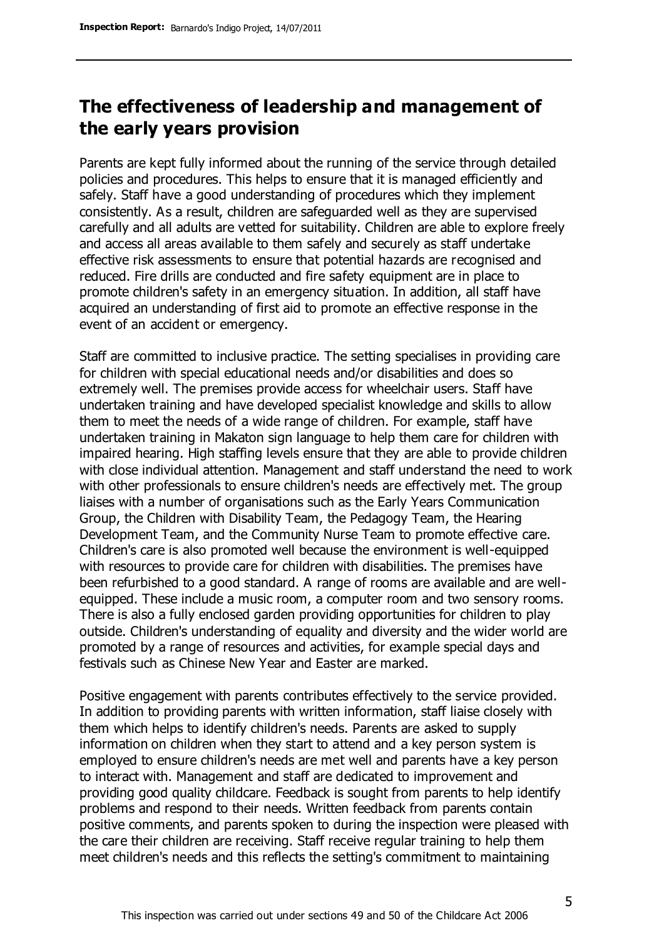### **The effectiveness of leadership and management of the early years provision**

Parents are kept fully informed about the running of the service through detailed policies and procedures. This helps to ensure that it is managed efficiently and safely. Staff have a good understanding of procedures which they implement consistently. As a result, children are safeguarded well as they are supervised carefully and all adults are vetted for suitability. Children are able to explore freely and access all areas available to them safely and securely as staff undertake effective risk assessments to ensure that potential hazards are recognised and reduced. Fire drills are conducted and fire safety equipment are in place to promote children's safety in an emergency situation. In addition, all staff have acquired an understanding of first aid to promote an effective response in the event of an accident or emergency.

Staff are committed to inclusive practice. The setting specialises in providing care for children with special educational needs and/or disabilities and does so extremely well. The premises provide access for wheelchair users. Staff have undertaken training and have developed specialist knowledge and skills to allow them to meet the needs of a wide range of children. For example, staff have undertaken training in Makaton sign language to help them care for children with impaired hearing. High staffing levels ensure that they are able to provide children with close individual attention. Management and staff understand the need to work with other professionals to ensure children's needs are effectively met. The group liaises with a number of organisations such as the Early Years Communication Group, the Children with Disability Team, the Pedagogy Team, the Hearing Development Team, and the Community Nurse Team to promote effective care. Children's care is also promoted well because the environment is well-equipped with resources to provide care for children with disabilities. The premises have been refurbished to a good standard. A range of rooms are available and are wellequipped. These include a music room, a computer room and two sensory rooms. There is also a fully enclosed garden providing opportunities for children to play outside. Children's understanding of equality and diversity and the wider world are promoted by a range of resources and activities, for example special days and festivals such as Chinese New Year and Easter are marked.

Positive engagement with parents contributes effectively to the service provided. In addition to providing parents with written information, staff liaise closely with them which helps to identify children's needs. Parents are asked to supply information on children when they start to attend and a key person system is employed to ensure children's needs are met well and parents have a key person to interact with. Management and staff are dedicated to improvement and providing good quality childcare. Feedback is sought from parents to help identify problems and respond to their needs. Written feedback from parents contain positive comments, and parents spoken to during the inspection were pleased with the care their children are receiving. Staff receive regular training to help them meet children's needs and this reflects the setting's commitment to maintaining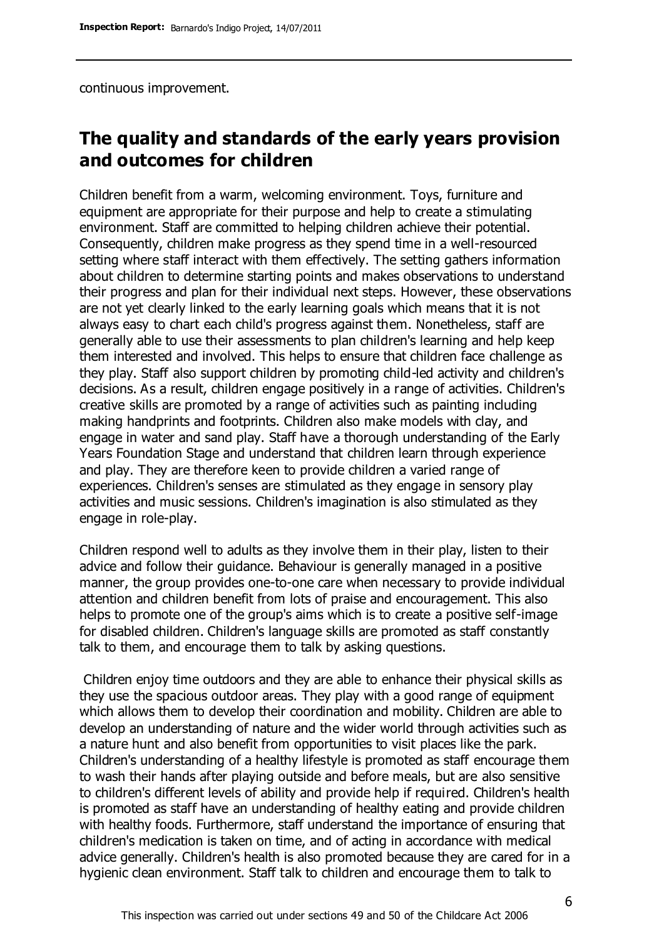continuous improvement.

### **The quality and standards of the early years provision and outcomes for children**

Children benefit from a warm, welcoming environment. Toys, furniture and equipment are appropriate for their purpose and help to create a stimulating environment. Staff are committed to helping children achieve their potential. Consequently, children make progress as they spend time in a well-resourced setting where staff interact with them effectively. The setting gathers information about children to determine starting points and makes observations to understand their progress and plan for their individual next steps. However, these observations are not yet clearly linked to the early learning goals which means that it is not always easy to chart each child's progress against them. Nonetheless, staff are generally able to use their assessments to plan children's learning and help keep them interested and involved. This helps to ensure that children face challenge as they play. Staff also support children by promoting child-led activity and children's decisions. As a result, children engage positively in a range of activities. Children's creative skills are promoted by a range of activities such as painting including making handprints and footprints. Children also make models with clay, and engage in water and sand play. Staff have a thorough understanding of the Early Years Foundation Stage and understand that children learn through experience and play. They are therefore keen to provide children a varied range of experiences. Children's senses are stimulated as they engage in sensory play activities and music sessions. Children's imagination is also stimulated as they engage in role-play.

Children respond well to adults as they involve them in their play, listen to their advice and follow their guidance. Behaviour is generally managed in a positive manner, the group provides one-to-one care when necessary to provide individual attention and children benefit from lots of praise and encouragement. This also helps to promote one of the group's aims which is to create a positive self-image for disabled children. Children's language skills are promoted as staff constantly talk to them, and encourage them to talk by asking questions.

Children enjoy time outdoors and they are able to enhance their physical skills as they use the spacious outdoor areas. They play with a good range of equipment which allows them to develop their coordination and mobility. Children are able to develop an understanding of nature and the wider world through activities such as a nature hunt and also benefit from opportunities to visit places like the park. Children's understanding of a healthy lifestyle is promoted as staff encourage them to wash their hands after playing outside and before meals, but are also sensitive to children's different levels of ability and provide help if required. Children's health is promoted as staff have an understanding of healthy eating and provide children with healthy foods. Furthermore, staff understand the importance of ensuring that children's medication is taken on time, and of acting in accordance with medical advice generally. Children's health is also promoted because they are cared for in a hygienic clean environment. Staff talk to children and encourage them to talk to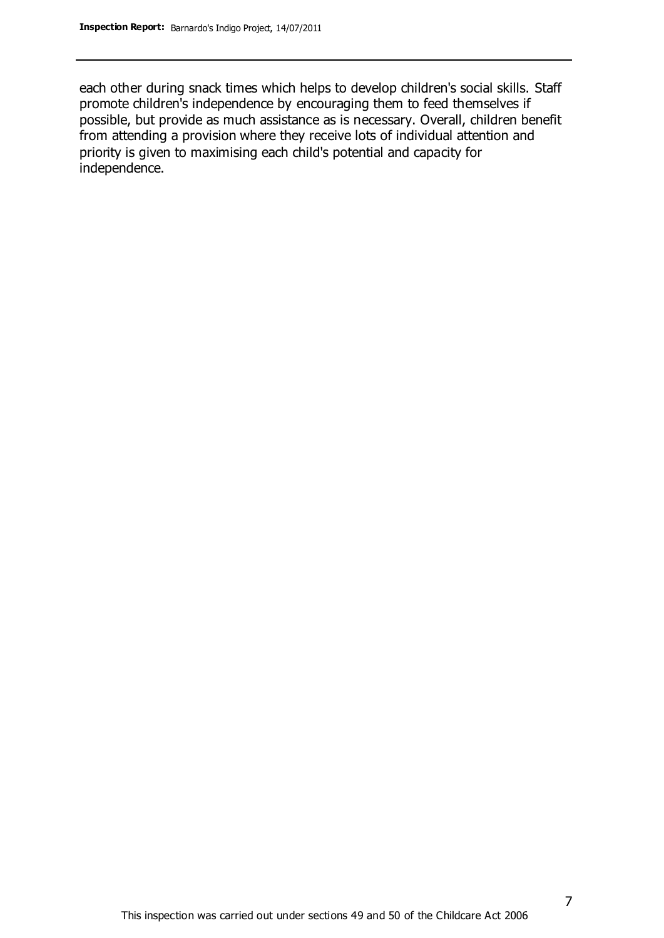each other during snack times which helps to develop children's social skills. Staff promote children's independence by encouraging them to feed themselves if possible, but provide as much assistance as is necessary. Overall, children benefit from attending a provision where they receive lots of individual attention and priority is given to maximising each child's potential and capacity for independence.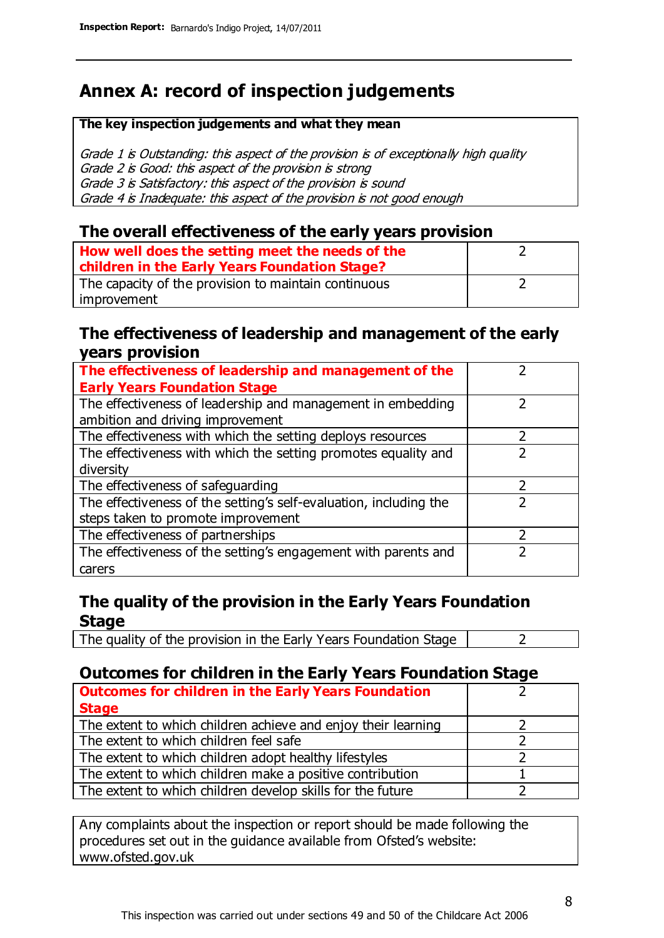### **Annex A: record of inspection judgements**

#### **The key inspection judgements and what they mean**

Grade 1 is Outstanding: this aspect of the provision is of exceptionally high quality Grade 2 is Good: this aspect of the provision is strong Grade 3 is Satisfactory: this aspect of the provision is sound Grade 4 is Inadequate: this aspect of the provision is not good enough

### **The overall effectiveness of the early years provision**

| How well does the setting meet the needs of the      |  |
|------------------------------------------------------|--|
| children in the Early Years Foundation Stage?        |  |
| The capacity of the provision to maintain continuous |  |
| improvement                                          |  |

### **The effectiveness of leadership and management of the early years provision**

| The effectiveness of leadership and management of the             |   |
|-------------------------------------------------------------------|---|
| <b>Early Years Foundation Stage</b>                               |   |
| The effectiveness of leadership and management in embedding       |   |
| ambition and driving improvement                                  |   |
| The effectiveness with which the setting deploys resources        |   |
| The effectiveness with which the setting promotes equality and    |   |
| diversity                                                         |   |
| The effectiveness of safeguarding                                 | 7 |
| The effectiveness of the setting's self-evaluation, including the |   |
| steps taken to promote improvement                                |   |
| The effectiveness of partnerships                                 |   |
| The effectiveness of the setting's engagement with parents and    |   |
| carers                                                            |   |

### **The quality of the provision in the Early Years Foundation Stage**

The quality of the provision in the Early Years Foundation Stage  $\vert$  2

### **Outcomes for children in the Early Years Foundation Stage**

| <b>Outcomes for children in the Early Years Foundation</b>    |  |
|---------------------------------------------------------------|--|
| <b>Stage</b>                                                  |  |
| The extent to which children achieve and enjoy their learning |  |
| The extent to which children feel safe                        |  |
| The extent to which children adopt healthy lifestyles         |  |
| The extent to which children make a positive contribution     |  |
| The extent to which children develop skills for the future    |  |

Any complaints about the inspection or report should be made following the procedures set out in the guidance available from Ofsted's website: www.ofsted.gov.uk